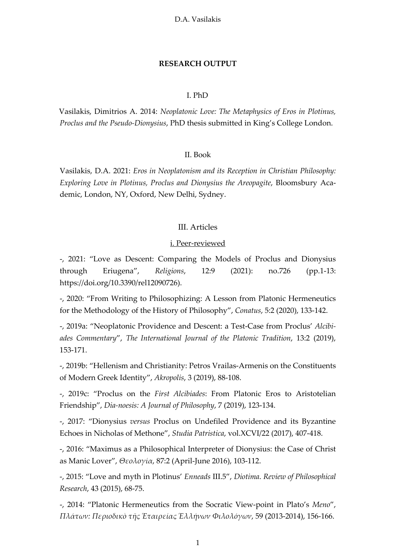#### **RESEARCH OUTPUT**

## I. PhD

Vasilakis, Dimitrios A. 2014: *Neoplatonic Love: The Metaphysics of Eros in Plotinus, Proclus and the Pseudo-Dionysius*, PhD thesis submitted in King's College London.

### II. Book

Vasilakis, D.A. 2021: *Eros in Neoplatonism and its Reception in Christian Philosophy: Exploring Love in Plotinus, Proclus and Dionysius the Areopagite*, Bloomsbury Academic, London, NY, Oxford, New Delhi, Sydney.

### III. Articles

## i. Peer-reviewed

-, 2021: "Love as Descent: Comparing the Models of Proclus and Dionysius through Eriugena", *Religions*, 12:9 (2021): no.726 (pp.1-13: https://doi.org/10.3390/rel12090726).

-, 2020: "From Writing to Philosophizing: A Lesson from Platonic Hermeneutics for the Methodology of the History of Philosophy", *Conatus*, 5:2 (2020), 133-142.

-, 2019a: "Neoplatonic Providence and Descent: a Test-Case from Proclus' *Alcibiades Commentary*", *The International Journal of the Platonic Tradition*, 13:2 (2019), 153-171.

-, 2019b: "Hellenism and Christianity: Petros Vrailas-Armenis on the Constituents of Modern Greek Identity", *Akropolis*, 3 (2019), 88-108.

-, 2019c: "Proclus on the *First Alcibiades*: From Platonic Eros to Aristotelian Friendship", *Dia-noesis: A Journal of Philosophy*, 7 (2019), 123-134.

-, 2017: "Dionysius *versus* Proclus on Undefiled Providence and its Byzantine Echoes in Nicholas of Methone", *Studia Patristica*, vol.XCVI/22 (2017), 407-418.

-, 2016: "Maximus as a Philosophical Interpreter of Dionysius: the Case of Christ as Manic Lover", *Θεολογία*, 87:2 (April-June 2016), 103-112.

-, 2015: "Love and myth in Plotinus' *Enneads* III.5", *Diotima*. *Review of Philosophical Research*, 43 (2015), 68-75.

-, 2014: "Platonic Hermeneutics from the Socratic View-point in Plato's *Meno*", *Πλάτων: Περιοδικὸ τῆς Ἑταιρείας Ἑλλήνων Φιλολόγων*, 59 (2013-2014), 156-166.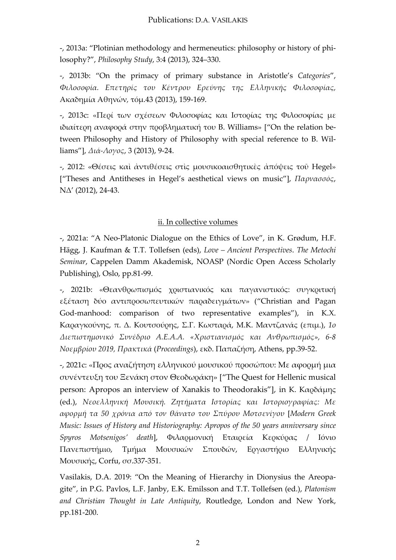-, 2013a: "Plotinian methodology and hermeneutics: philosophy or history of philosophy?", *Philosophy Study*, 3:4 (2013), 324–330.

-, 2013b: "On the primacy of primary substance in Aristotle's *Categories*", *Φιλοσοφία. Επετηρίς του Κέντρου Ερεύνης της Ελληνικής Φιλοσοφίας,* Ακαδημία Αθηνών*,* τόμ.43 (2013), 159-169.

-, 2013c: «Περί των σχέσεων Φιλοσοφίας και Ιστορίας της Φιλοσοφίας με ιδιαίτερη αναφορά στην προβληματική του B. Williams» ["On the relation between Philosophy and History of Philosophy with special reference to B. Williams"], *Διά-Λογος*, 3 (2013), 9-24.

-, 2012: «Θέσεις καὶ ἀντιθέσεις στὶς μουσικοαισθητικὲς ἀπόψεις τοῦ Hegel» ["Theses and Antitheses in Hegel's aesthetical views on music"], *Παρνασσός*, NΔ' (2012), 24-43.

# ii. In collective volumes

-, 2021a: "A Neo-Platonic Dialogue on the Ethics of Love", in K. Grødum, H.F. Hägg, J. Kaufman & T.T. Tollefsen (eds), *Love – Ancient Perspectives*. *The Metochi Seminar*, Cappelen Damm Akademisk, NOASP (Nordic Open Access Scholarly Publishing), Oslo, pp.81-99.

-, 2021b: «Θεανθρωπισμός χριστιανικός και παγανιστικός: συγκριτική εξέταση δύο αντιπροσωπευτικών παραδειγμάτων» ("Christian and Pagan God-manhood: comparison of two representative examples"), in Κ.Χ. Καραγκούνης, π. Δ. Κουτσούρης, Σ.Γ. Κωσταρά, Μ.Κ. Μαντζανάς (επιμ.), *1ο Διεπιστημονικό Συνέδριο Α.Ε.Α.Α. «Χριστιανισμός και Ανθρωπισμός», 6-8 Νοεμβρίου 2019, Πρακτικά* (*Proceedings*), εκδ. Παπαζήση, Athens, pp.39-52.

-, 2021c: «Προς αναζήτηση ελληνικού μουσικού προσώπου: Mε αφορμή μια συνέντευξη του Ξενάκη στον Θεοδωράκη» ["The Quest for Hellenic musical person: Apropos an interview of Xanakis to Theodorakis"], in Κ. Καρδάμης (ed.), *Νεοελληνική Μουσική. Ζητήματα Ιστορίας και Ιστοριογραφίας: Με αφορμή τα 50 χρόνια από τον θάνατο του Σπύρου Μοτσενίγου* [*Modern Greek Music: Issues of History and Historiography: Apropos of the 50 years anniversary since Spyros Motsenigos' death*], Φιλαρμονική Εταιρεία Κερκύρας / Ιόνιο Πανεπιστήμιο, Τμήμα Μουσικών Σπουδών, Εργαστήριο Ελληνικής Μουσικής, Corfu, σσ.337-351.

Vasilakis, D.A. 2019: "On the Meaning of Hierarchy in Dionysius the Areopagite", in P.G. Pavlos, L.F. Janby, E.K. Emilsson and T.T. Tollefsen (ed.), *Platonism and Christian Thought in Late Antiquity*, Routledge, London and New York, pp.181-200.